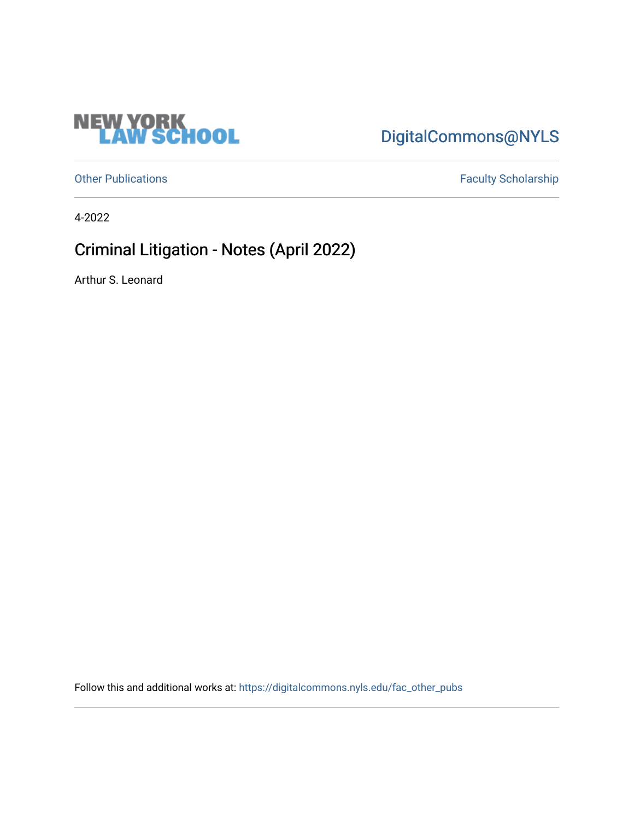

## [DigitalCommons@NYLS](https://digitalcommons.nyls.edu/)

[Other Publications](https://digitalcommons.nyls.edu/fac_other_pubs) **Faculty Scholarship Faculty Scholarship** 

4-2022

## Criminal Litigation - Notes (April 2022)

Arthur S. Leonard

Follow this and additional works at: [https://digitalcommons.nyls.edu/fac\\_other\\_pubs](https://digitalcommons.nyls.edu/fac_other_pubs?utm_source=digitalcommons.nyls.edu%2Ffac_other_pubs%2F799&utm_medium=PDF&utm_campaign=PDFCoverPages)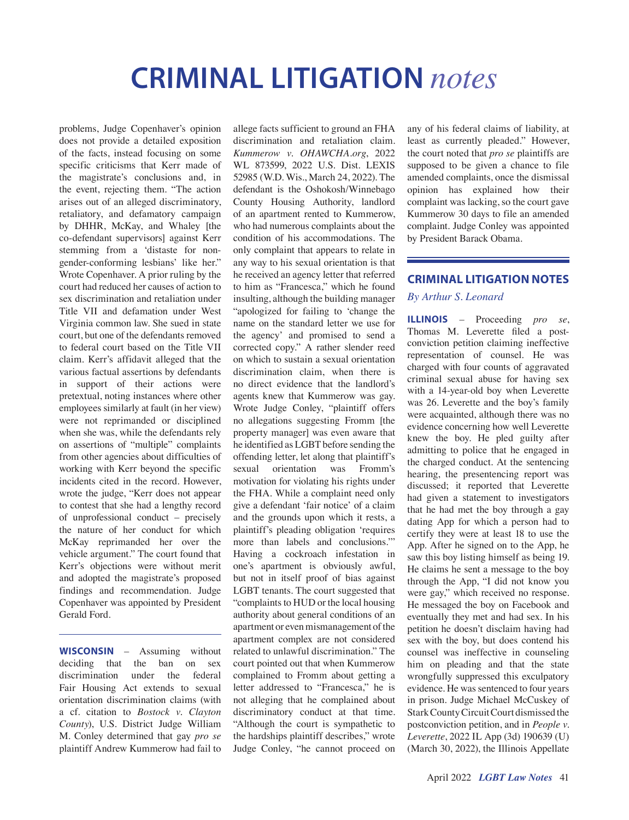# **CRIMINAL LITIGATION** *notes*

problems, Judge Copenhaver's opinion does not provide a detailed exposition of the facts, instead focusing on some specific criticisms that Kerr made of the magistrate's conclusions and, in the event, rejecting them. "The action arises out of an alleged discriminatory, retaliatory, and defamatory campaign by DHHR, McKay, and Whaley [the co-defendant supervisors] against Kerr stemming from a 'distaste for nongender-conforming lesbians' like her." Wrote Copenhaver. A prior ruling by the court had reduced her causes of action to sex discrimination and retaliation under Title VII and defamation under West Virginia common law. She sued in state court, but one of the defendants removed to federal court based on the Title VII claim. Kerr's affidavit alleged that the various factual assertions by defendants in support of their actions were pretextual, noting instances where other employees similarly at fault (in her view) were not reprimanded or disciplined when she was, while the defendants rely on assertions of "multiple" complaints from other agencies about difficulties of working with Kerr beyond the specific incidents cited in the record. However, wrote the judge, "Kerr does not appear to contest that she had a lengthy record of unprofessional conduct – precisely the nature of her conduct for which McKay reprimanded her over the vehicle argument." The court found that Kerr's objections were without merit and adopted the magistrate's proposed findings and recommendation. Judge Copenhaver was appointed by President Gerald Ford.

**WISCONSIN** – Assuming without deciding that the ban on sex discrimination under the federal Fair Housing Act extends to sexual orientation discrimination claims (with a cf. citation to *Bostock v. Clayton County*), U.S. District Judge William M. Conley determined that gay *pro se* plaintiff Andrew Kummerow had fail to allege facts sufficient to ground an FHA discrimination and retaliation claim. *Kummerow v. OHAWCHA.org*, 2022 WL 873599, 2022 U.S. Dist. LEXIS 52985 (W.D. Wis., March 24, 2022). The defendant is the Oshokosh/Winnebago County Housing Authority, landlord of an apartment rented to Kummerow, who had numerous complaints about the condition of his accommodations. The only complaint that appears to relate in any way to his sexual orientation is that he received an agency letter that referred to him as "Francesca," which he found insulting, although the building manager "apologized for failing to 'change the name on the standard letter we use for the agency' and promised to send a corrected copy." A rather slender reed on which to sustain a sexual orientation discrimination claim, when there is no direct evidence that the landlord's agents knew that Kummerow was gay. Wrote Judge Conley, "plaintiff offers no allegations suggesting Fromm [the property manager] was even aware that he identified as LGBT before sending the offending letter, let along that plaintiff's sexual orientation was Fromm's motivation for violating his rights under the FHA. While a complaint need only give a defendant 'fair notice' of a claim and the grounds upon which it rests, a plaintiff's pleading obligation 'requires more than labels and conclusions.'" Having a cockroach infestation in one's apartment is obviously awful, but not in itself proof of bias against LGBT tenants. The court suggested that "complaints to HUD or the local housing authority about general conditions of an apartment or even mismanagement of the apartment complex are not considered related to unlawful discrimination." The court pointed out that when Kummerow complained to Fromm about getting a letter addressed to "Francesca," he is not alleging that he complained about discriminatory conduct at that time. "Although the court is sympathetic to the hardships plaintiff describes," wrote Judge Conley, "he cannot proceed on

any of his federal claims of liability, at least as currently pleaded." However, the court noted that *pro se* plaintiffs are supposed to be given a chance to file amended complaints, once the dismissal opinion has explained how their complaint was lacking, so the court gave Kummerow 30 days to file an amended complaint. Judge Conley was appointed by President Barack Obama.

#### **CRIMINAL LITIGATION NOTES**

#### *By Arthur S. Leonard*

**ILLINOIS** – Proceeding *pro se*, Thomas M. Leverette filed a postconviction petition claiming ineffective representation of counsel. He was charged with four counts of aggravated criminal sexual abuse for having sex with a 14-year-old boy when Leverette was 26. Leverette and the boy's family were acquainted, although there was no evidence concerning how well Leverette knew the boy. He pled guilty after admitting to police that he engaged in the charged conduct. At the sentencing hearing, the presentencing report was discussed; it reported that Leverette had given a statement to investigators that he had met the boy through a gay dating App for which a person had to certify they were at least 18 to use the App. After he signed on to the App, he saw this boy listing himself as being 19. He claims he sent a message to the boy through the App, "I did not know you were gay," which received no response. He messaged the boy on Facebook and eventually they met and had sex. In his petition he doesn't disclaim having had sex with the boy, but does contend his counsel was ineffective in counseling him on pleading and that the state wrongfully suppressed this exculpatory evidence. He was sentenced to four years in prison. Judge Michael McCuskey of Stark County Circuit Court dismissed the postconviction petition, and in *People v. Leverette*, 2022 IL App (3d) 190639 (U) (March 30, 2022), the Illinois Appellate